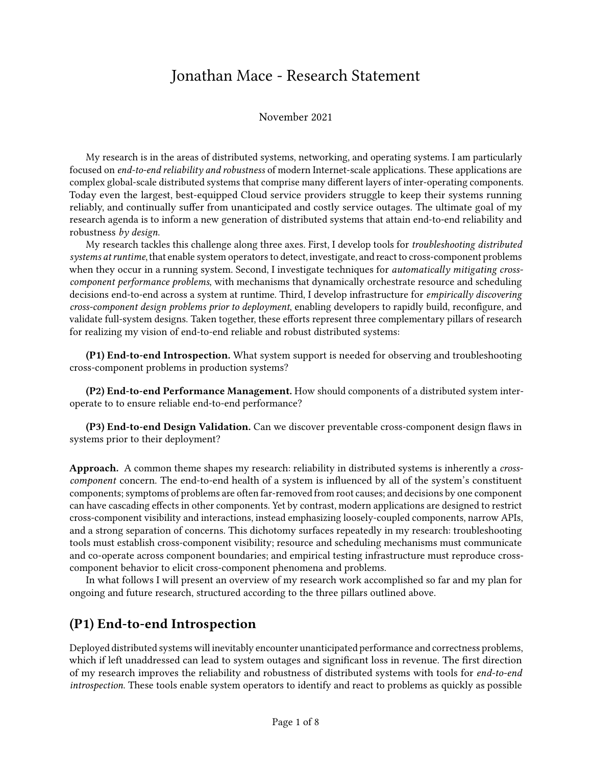# Jonathan Mace - Research Statement

November 2021

My research is in the areas of distributed systems, networking, and operating systems. I am particularly focused on end-to-end reliability and robustness of modern Internet-scale applications. These applications are complex global-scale distributed systems that comprise many different layers of inter-operating components. Today even the largest, best-equipped Cloud service providers struggle to keep their systems running reliably, and continually suffer from unanticipated and costly service outages. The ultimate goal of my research agenda is to inform a new generation of distributed systems that attain end-to-end reliability and robustness by design.

My research tackles this challenge along three axes. First, I develop tools for troubleshooting distributed systems at runtime, that enable system operators to detect, investigate, and react to cross-component problems when they occur in a running system. Second, I investigate techniques for *automatically mitigating cross*component performance problems, with mechanisms that dynamically orchestrate resource and scheduling decisions end-to-end across a system at runtime. Third, I develop infrastructure for empirically discovering cross-component design problems prior to deployment, enabling developers to rapidly build, reconfigure, and validate full-system designs. Taken together, these efforts represent three complementary pillars of research for realizing my vision of end-to-end reliable and robust distributed systems:

(P1) End-to-end Introspection. What system support is needed for observing and troubleshooting cross-component problems in production systems?

(P2) End-to-end Performance Management. How should components of a distributed system interoperate to to ensure reliable end-to-end performance?

(P3) End-to-end Design Validation. Can we discover preventable cross-component design flaws in systems prior to their deployment?

Approach. A common theme shapes my research: reliability in distributed systems is inherently a *cross*component concern. The end-to-end health of a system is influenced by all of the system's constituent components; symptoms of problems are often far-removed from root causes; and decisions by one component can have cascading effects in other components. Yet by contrast, modern applications are designed to restrict cross-component visibility and interactions, instead emphasizing loosely-coupled components, narrow APIs, and a strong separation of concerns. This dichotomy surfaces repeatedly in my research: troubleshooting tools must establish cross-component visibility; resource and scheduling mechanisms must communicate and co-operate across component boundaries; and empirical testing infrastructure must reproduce crosscomponent behavior to elicit cross-component phenomena and problems.

In what follows I will present an overview of my research work accomplished so far and my plan for ongoing and future research, structured according to the three pillars outlined above.

#### (P1) End-to-end Introspection

Deployed distributed systems will inevitably encounter unanticipated performance and correctness problems, which if left unaddressed can lead to system outages and significant loss in revenue. The first direction of my research improves the reliability and robustness of distributed systems with tools for end-to-end introspection. These tools enable system operators to identify and react to problems as quickly as possible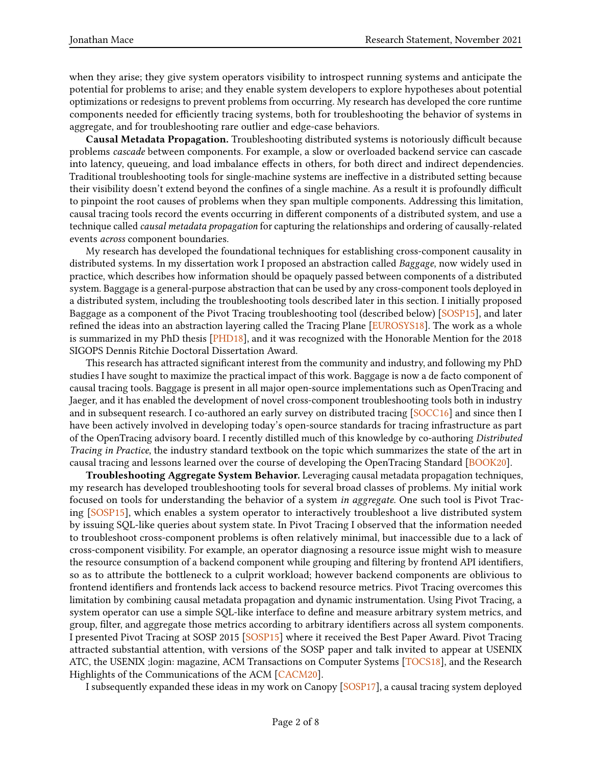when they arise; they give system operators visibility to introspect running systems and anticipate the potential for problems to arise; and they enable system developers to explore hypotheses about potential optimizations or redesigns to prevent problems from occurring. My research has developed the core runtime components needed for efficiently tracing systems, both for troubleshooting the behavior of systems in aggregate, and for troubleshooting rare outlier and edge-case behaviors.

Causal Metadata Propagation. Troubleshooting distributed systems is notoriously difficult because problems cascade between components. For example, a slow or overloaded backend service can cascade into latency, queueing, and load imbalance effects in others, for both direct and indirect dependencies. Traditional troubleshooting tools for single-machine systems are ineffective in a distributed setting because their visibility doesn't extend beyond the confines of a single machine. As a result it is profoundly difficult to pinpoint the root causes of problems when they span multiple components. Addressing this limitation, causal tracing tools record the events occurring in different components of a distributed system, and use a technique called causal metadata propagation for capturing the relationships and ordering of causally-related events across component boundaries.

My research has developed the foundational techniques for establishing cross-component causality in distributed systems. In my dissertation work I proposed an abstraction called Baggage, now widely used in practice, which describes how information should be opaquely passed between components of a distributed system. Baggage is a general-purpose abstraction that can be used by any cross-component tools deployed in a distributed system, including the troubleshooting tools described later in this section. I initially proposed Baggage as a component of the Pivot Tracing troubleshooting tool (described below) [\[SOSP15\]](#page-6-0), and later refined the ideas into an abstraction layering called the Tracing Plane [\[EUROSYS18\]](#page-6-1). The work as a whole is summarized in my PhD thesis [\[PHD18\]](#page-6-2), and it was recognized with the Honorable Mention for the 2018 SIGOPS Dennis Ritchie Doctoral Dissertation Award.

This research has attracted significant interest from the community and industry, and following my PhD studies I have sought to maximize the practical impact of this work. Baggage is now a de facto component of causal tracing tools. Baggage is present in all major open-source implementations such as OpenTracing and Jaeger, and it has enabled the development of novel cross-component troubleshooting tools both in industry and in subsequent research. I co-authored an early survey on distributed tracing [\[SOCC16\]](#page-6-3) and since then I have been actively involved in developing today's open-source standards for tracing infrastructure as part of the OpenTracing advisory board. I recently distilled much of this knowledge by co-authoring Distributed Tracing in Practice, the industry standard textbook on the topic which summarizes the state of the art in causal tracing and lessons learned over the course of developing the OpenTracing Standard [\[BOOK20\]](#page-6-4).

Troubleshooting Aggregate System Behavior. Leveraging causal metadata propagation techniques, my research has developed troubleshooting tools for several broad classes of problems. My initial work focused on tools for understanding the behavior of a system in aggregate. One such tool is Pivot Trac-ing [\[SOSP15\]](#page-6-0), which enables a system operator to interactively troubleshoot a live distributed system by issuing SQL-like queries about system state. In Pivot Tracing I observed that the information needed to troubleshoot cross-component problems is often relatively minimal, but inaccessible due to a lack of cross-component visibility. For example, an operator diagnosing a resource issue might wish to measure the resource consumption of a backend component while grouping and filtering by frontend API identifiers, so as to attribute the bottleneck to a culprit workload; however backend components are oblivious to frontend identifiers and frontends lack access to backend resource metrics. Pivot Tracing overcomes this limitation by combining causal metadata propagation and dynamic instrumentation. Using Pivot Tracing, a system operator can use a simple SQL-like interface to define and measure arbitrary system metrics, and group, filter, and aggregate those metrics according to arbitrary identifiers across all system components. I presented Pivot Tracing at SOSP 2015 [\[SOSP15\]](#page-6-0) where it received the Best Paper Award. Pivot Tracing attracted substantial attention, with versions of the SOSP paper and talk invited to appear at USENIX ATC, the USENIX ;login: magazine, ACM Transactions on Computer Systems [\[TOCS18\]](#page-6-5), and the Research Highlights of the Communications of the ACM [\[CACM20\]](#page-6-6).

I subsequently expanded these ideas in my work on Canopy [\[SOSP17\]](#page-6-7), a causal tracing system deployed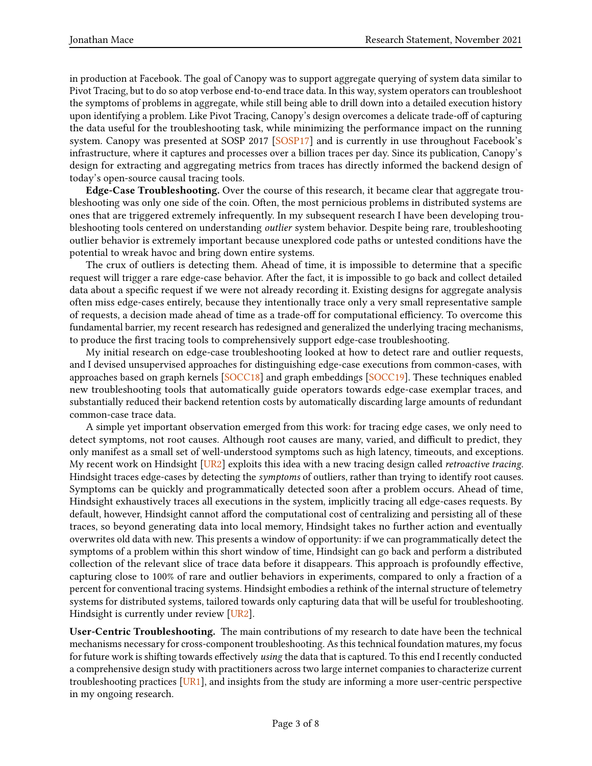in production at Facebook. The goal of Canopy was to support aggregate querying of system data similar to Pivot Tracing, but to do so atop verbose end-to-end trace data. In this way, system operators can troubleshoot the symptoms of problems in aggregate, while still being able to drill down into a detailed execution history upon identifying a problem. Like Pivot Tracing, Canopy's design overcomes a delicate trade-off of capturing the data useful for the troubleshooting task, while minimizing the performance impact on the running system. Canopy was presented at SOSP 2017 [\[SOSP17\]](#page-6-7) and is currently in use throughout Facebook's infrastructure, where it captures and processes over a billion traces per day. Since its publication, Canopy's design for extracting and aggregating metrics from traces has directly informed the backend design of today's open-source causal tracing tools.

Edge-Case Troubleshooting. Over the course of this research, it became clear that aggregate troubleshooting was only one side of the coin. Often, the most pernicious problems in distributed systems are ones that are triggered extremely infrequently. In my subsequent research I have been developing troubleshooting tools centered on understanding *outlier* system behavior. Despite being rare, troubleshooting outlier behavior is extremely important because unexplored code paths or untested conditions have the potential to wreak havoc and bring down entire systems.

The crux of outliers is detecting them. Ahead of time, it is impossible to determine that a specific request will trigger a rare edge-case behavior. After the fact, it is impossible to go back and collect detailed data about a specific request if we were not already recording it. Existing designs for aggregate analysis often miss edge-cases entirely, because they intentionally trace only a very small representative sample of requests, a decision made ahead of time as a trade-off for computational efficiency. To overcome this fundamental barrier, my recent research has redesigned and generalized the underlying tracing mechanisms, to produce the first tracing tools to comprehensively support edge-case troubleshooting.

My initial research on edge-case troubleshooting looked at how to detect rare and outlier requests, and I devised unsupervised approaches for distinguishing edge-case executions from common-cases, with approaches based on graph kernels [\[SOCC18\]](#page-6-8) and graph embeddings [\[SOCC19\]](#page-6-9). These techniques enabled new troubleshooting tools that automatically guide operators towards edge-case exemplar traces, and substantially reduced their backend retention costs by automatically discarding large amounts of redundant common-case trace data.

A simple yet important observation emerged from this work: for tracing edge cases, we only need to detect symptoms, not root causes. Although root causes are many, varied, and difficult to predict, they only manifest as a small set of well-understood symptoms such as high latency, timeouts, and exceptions. My recent work on Hindsight  $[UR2]$  exploits this idea with a new tracing design called *retroactive tracing*. Hindsight traces edge-cases by detecting the symptoms of outliers, rather than trying to identify root causes. Symptoms can be quickly and programmatically detected soon after a problem occurs. Ahead of time, Hindsight exhaustively traces all executions in the system, implicitly tracing all edge-cases requests. By default, however, Hindsight cannot afford the computational cost of centralizing and persisting all of these traces, so beyond generating data into local memory, Hindsight takes no further action and eventually overwrites old data with new. This presents a window of opportunity: if we can programmatically detect the symptoms of a problem within this short window of time, Hindsight can go back and perform a distributed collection of the relevant slice of trace data before it disappears. This approach is profoundly effective, capturing close to 100% of rare and outlier behaviors in experiments, compared to only a fraction of a percent for conventional tracing systems. Hindsight embodies a rethink of the internal structure of telemetry systems for distributed systems, tailored towards only capturing data that will be useful for troubleshooting. Hindsight is currently under review [\[UR2\]](#page-7-1).

User-Centric Troubleshooting. The main contributions of my research to date have been the technical mechanisms necessary for cross-component troubleshooting. As this technical foundation matures, my focus for future work is shifting towards effectively using the data that is captured. To this end I recently conducted a comprehensive design study with practitioners across two large internet companies to characterize current troubleshooting practices  $[UR1]$ , and insights from the study are informing a more user-centric perspective in my ongoing research.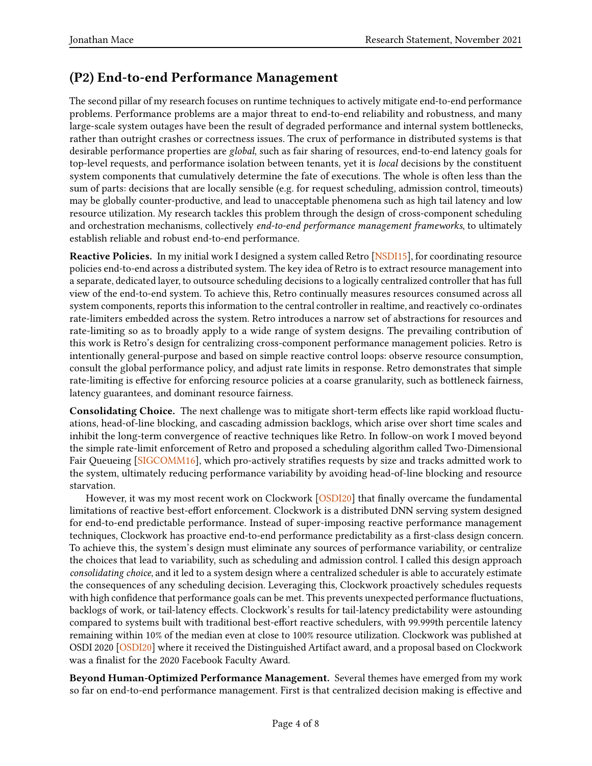## (P2) End-to-end Performance Management

The second pillar of my research focuses on runtime techniques to actively mitigate end-to-end performance problems. Performance problems are a major threat to end-to-end reliability and robustness, and many large-scale system outages have been the result of degraded performance and internal system bottlenecks, rather than outright crashes or correctness issues. The crux of performance in distributed systems is that desirable performance properties are global, such as fair sharing of resources, end-to-end latency goals for top-level requests, and performance isolation between tenants, yet it is *local* decisions by the constituent system components that cumulatively determine the fate of executions. The whole is often less than the sum of parts: decisions that are locally sensible (e.g. for request scheduling, admission control, timeouts) may be globally counter-productive, and lead to unacceptable phenomena such as high tail latency and low resource utilization. My research tackles this problem through the design of cross-component scheduling and orchestration mechanisms, collectively end-to-end performance management frameworks, to ultimately establish reliable and robust end-to-end performance.

Reactive Policies. In my initial work I designed a system called Retro [\[NSDI15\]](#page-6-10), for coordinating resource policies end-to-end across a distributed system. The key idea of Retro is to extract resource management into a separate, dedicated layer, to outsource scheduling decisions to a logically centralized controller that has full view of the end-to-end system. To achieve this, Retro continually measures resources consumed across all system components, reports this information to the central controller in realtime, and reactively co-ordinates rate-limiters embedded across the system. Retro introduces a narrow set of abstractions for resources and rate-limiting so as to broadly apply to a wide range of system designs. The prevailing contribution of this work is Retro's design for centralizing cross-component performance management policies. Retro is intentionally general-purpose and based on simple reactive control loops: observe resource consumption, consult the global performance policy, and adjust rate limits in response. Retro demonstrates that simple rate-limiting is effective for enforcing resource policies at a coarse granularity, such as bottleneck fairness, latency guarantees, and dominant resource fairness.

Consolidating Choice. The next challenge was to mitigate short-term effects like rapid workload fluctuations, head-of-line blocking, and cascading admission backlogs, which arise over short time scales and inhibit the long-term convergence of reactive techniques like Retro. In follow-on work I moved beyond the simple rate-limit enforcement of Retro and proposed a scheduling algorithm called Two-Dimensional Fair Queueing [\[SIGCOMM16\]](#page-6-11), which pro-actively stratifies requests by size and tracks admitted work to the system, ultimately reducing performance variability by avoiding head-of-line blocking and resource starvation.

However, it was my most recent work on Clockwork [\[OSDI20\]](#page-6-12) that finally overcame the fundamental limitations of reactive best-effort enforcement. Clockwork is a distributed DNN serving system designed for end-to-end predictable performance. Instead of super-imposing reactive performance management techniques, Clockwork has proactive end-to-end performance predictability as a first-class design concern. To achieve this, the system's design must eliminate any sources of performance variability, or centralize the choices that lead to variability, such as scheduling and admission control. I called this design approach consolidating choice, and it led to a system design where a centralized scheduler is able to accurately estimate the consequences of any scheduling decision. Leveraging this, Clockwork proactively schedules requests with high confidence that performance goals can be met. This prevents unexpected performance fluctuations, backlogs of work, or tail-latency effects. Clockwork's results for tail-latency predictability were astounding compared to systems built with traditional best-effort reactive schedulers, with 99.999th percentile latency remaining within 10% of the median even at close to 100% resource utilization. Clockwork was published at OSDI 2020 [\[OSDI20\]](#page-6-12) where it received the Distinguished Artifact award, and a proposal based on Clockwork was a finalist for the 2020 Facebook Faculty Award.

Beyond Human-Optimized Performance Management. Several themes have emerged from my work so far on end-to-end performance management. First is that centralized decision making is effective and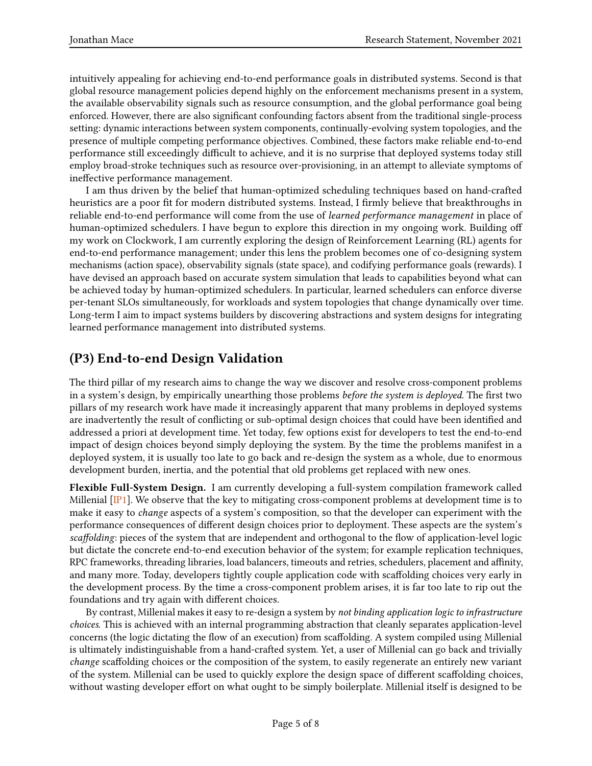intuitively appealing for achieving end-to-end performance goals in distributed systems. Second is that global resource management policies depend highly on the enforcement mechanisms present in a system, the available observability signals such as resource consumption, and the global performance goal being enforced. However, there are also significant confounding factors absent from the traditional single-process setting: dynamic interactions between system components, continually-evolving system topologies, and the presence of multiple competing performance objectives. Combined, these factors make reliable end-to-end performance still exceedingly difficult to achieve, and it is no surprise that deployed systems today still employ broad-stroke techniques such as resource over-provisioning, in an attempt to alleviate symptoms of ineffective performance management.

I am thus driven by the belief that human-optimized scheduling techniques based on hand-crafted heuristics are a poor fit for modern distributed systems. Instead, I firmly believe that breakthroughs in reliable end-to-end performance will come from the use of learned performance management in place of human-optimized schedulers. I have begun to explore this direction in my ongoing work. Building o my work on Clockwork, I am currently exploring the design of Reinforcement Learning (RL) agents for end-to-end performance management; under this lens the problem becomes one of co-designing system mechanisms (action space), observability signals (state space), and codifying performance goals (rewards). I have devised an approach based on accurate system simulation that leads to capabilities beyond what can be achieved today by human-optimized schedulers. In particular, learned schedulers can enforce diverse per-tenant SLOs simultaneously, for workloads and system topologies that change dynamically over time. Long-term I aim to impact systems builders by discovering abstractions and system designs for integrating learned performance management into distributed systems.

## (P3) End-to-end Design Validation

The third pillar of my research aims to change the way we discover and resolve cross-component problems in a system's design, by empirically unearthing those problems *before the system is deployed*. The first two pillars of my research work have made it increasingly apparent that many problems in deployed systems are inadvertently the result of conflicting or sub-optimal design choices that could have been identified and addressed a priori at development time. Yet today, few options exist for developers to test the end-to-end impact of design choices beyond simply deploying the system. By the time the problems manifest in a deployed system, it is usually too late to go back and re-design the system as a whole, due to enormous development burden, inertia, and the potential that old problems get replaced with new ones.

Flexible Full-System Design. I am currently developing a full-system compilation framework called Millenial  $[\mathbf{IP1}]$ . We observe that the key to mitigating cross-component problems at development time is to make it easy to change aspects of a system's composition, so that the developer can experiment with the performance consequences of different design choices prior to deployment. These aspects are the system's scaffolding: pieces of the system that are independent and orthogonal to the flow of application-level logic but dictate the concrete end-to-end execution behavior of the system; for example replication techniques, RPC frameworks, threading libraries, load balancers, timeouts and retries, schedulers, placement and affinity, and many more. Today, developers tightly couple application code with scaffolding choices very early in the development process. By the time a cross-component problem arises, it is far too late to rip out the foundations and try again with different choices.

By contrast, Millenial makes it easy to re-design a system by not binding application logic to infrastructure choices. This is achieved with an internal programming abstraction that cleanly separates application-level concerns (the logic dictating the flow of an execution) from scaffolding. A system compiled using Millenial is ultimately indistinguishable from a hand-crafted system. Yet, a user of Millenial can go back and trivially change scaffolding choices or the composition of the system, to easily regenerate an entirely new variant of the system. Millenial can be used to quickly explore the design space of different scaffolding choices, without wasting developer effort on what ought to be simply boilerplate. Millenial itself is designed to be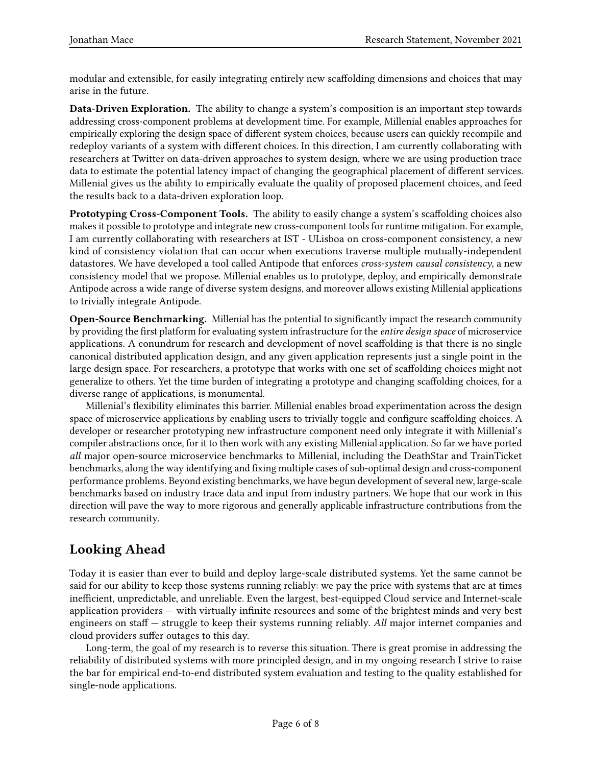modular and extensible, for easily integrating entirely new scaffolding dimensions and choices that may arise in the future.

Data-Driven Exploration. The ability to change a system's composition is an important step towards addressing cross-component problems at development time. For example, Millenial enables approaches for empirically exploring the design space of different system choices, because users can quickly recompile and redeploy variants of a system with different choices. In this direction, I am currently collaborating with researchers at Twitter on data-driven approaches to system design, where we are using production trace data to estimate the potential latency impact of changing the geographical placement of different services. Millenial gives us the ability to empirically evaluate the quality of proposed placement choices, and feed the results back to a data-driven exploration loop.

Prototyping Cross-Component Tools. The ability to easily change a system's scaffolding choices also makes it possible to prototype and integrate new cross-component tools for runtime mitigation. For example, I am currently collaborating with researchers at IST - ULisboa on cross-component consistency, a new kind of consistency violation that can occur when executions traverse multiple mutually-independent datastores. We have developed a tool called Antipode that enforces cross-system causal consistency, a new consistency model that we propose. Millenial enables us to prototype, deploy, and empirically demonstrate Antipode across a wide range of diverse system designs, and moreover allows existing Millenial applications to trivially integrate Antipode.

Open-Source Benchmarking. Millenial has the potential to significantly impact the research community by providing the first platform for evaluating system infrastructure for the entire design space of microservice applications. A conundrum for research and development of novel scaffolding is that there is no single canonical distributed application design, and any given application represents just a single point in the large design space. For researchers, a prototype that works with one set of scaffolding choices might not generalize to others. Yet the time burden of integrating a prototype and changing scaffolding choices, for a diverse range of applications, is monumental.

Millenial's flexibility eliminates this barrier. Millenial enables broad experimentation across the design space of microservice applications by enabling users to trivially toggle and configure scaffolding choices. A developer or researcher prototyping new infrastructure component need only integrate it with Millenial's compiler abstractions once, for it to then work with any existing Millenial application. So far we have ported all major open-source microservice benchmarks to Millenial, including the DeathStar and TrainTicket benchmarks, along the way identifying and fixing multiple cases of sub-optimal design and cross-component performance problems. Beyond existing benchmarks, we have begun development of several new, large-scale benchmarks based on industry trace data and input from industry partners. We hope that our work in this direction will pave the way to more rigorous and generally applicable infrastructure contributions from the research community.

## Looking Ahead

Today it is easier than ever to build and deploy large-scale distributed systems. Yet the same cannot be said for our ability to keep those systems running reliably: we pay the price with systems that are at times inefficient, unpredictable, and unreliable. Even the largest, best-equipped Cloud service and Internet-scale application providers — with virtually infinite resources and some of the brightest minds and very best engineers on staff  $-$  struggle to keep their systems running reliably. All major internet companies and cloud providers suffer outages to this day.

Long-term, the goal of my research is to reverse this situation. There is great promise in addressing the reliability of distributed systems with more principled design, and in my ongoing research I strive to raise the bar for empirical end-to-end distributed system evaluation and testing to the quality established for single-node applications.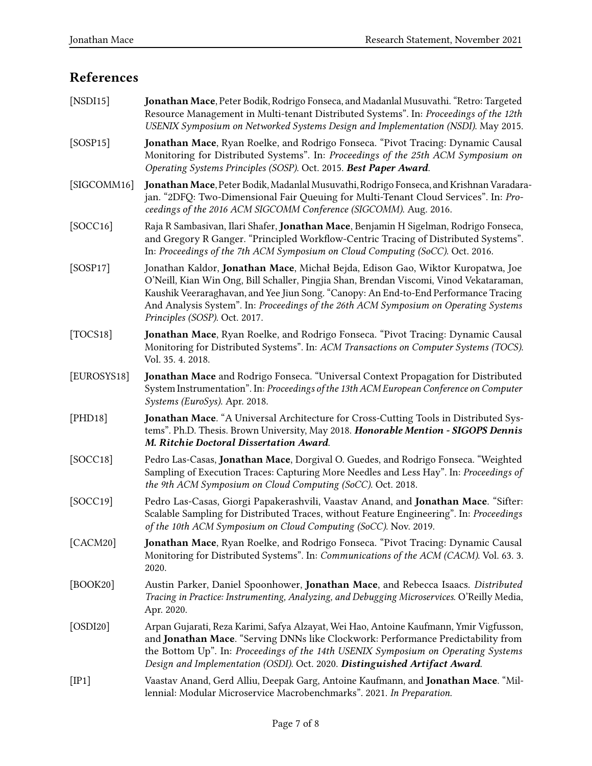# References

<span id="page-6-13"></span><span id="page-6-12"></span><span id="page-6-11"></span><span id="page-6-10"></span><span id="page-6-9"></span><span id="page-6-8"></span><span id="page-6-7"></span><span id="page-6-6"></span><span id="page-6-5"></span><span id="page-6-4"></span><span id="page-6-3"></span><span id="page-6-2"></span><span id="page-6-1"></span><span id="page-6-0"></span>

| [NSDI15]    | Jonathan Mace, Peter Bodik, Rodrigo Fonseca, and Madanlal Musuvathi. "Retro: Targeted<br>Resource Management in Multi-tenant Distributed Systems". In: Proceedings of the 12th<br>USENIX Symposium on Networked Systems Design and Implementation (NSDI). May 2015.                                                                                                                         |
|-------------|---------------------------------------------------------------------------------------------------------------------------------------------------------------------------------------------------------------------------------------------------------------------------------------------------------------------------------------------------------------------------------------------|
| [SOSP15]    | Jonathan Mace, Ryan Roelke, and Rodrigo Fonseca. "Pivot Tracing: Dynamic Causal<br>Monitoring for Distributed Systems". In: Proceedings of the 25th ACM Symposium on<br>Operating Systems Principles (SOSP). Oct. 2015. Best Paper Award.                                                                                                                                                   |
| [SIGCOMM16] | Jonathan Mace, Peter Bodik, Madanlal Musuvathi, Rodrigo Fonseca, and Krishnan Varadara-<br>jan. "2DFQ: Two-Dimensional Fair Queuing for Multi-Tenant Cloud Services". In: Pro-<br>ceedings of the 2016 ACM SIGCOMM Conference (SIGCOMM). Aug. 2016.                                                                                                                                         |
| [SOCC16]    | Raja R Sambasivan, Ilari Shafer, Jonathan Mace, Benjamin H Sigelman, Rodrigo Fonseca,<br>and Gregory R Ganger. "Principled Workflow-Centric Tracing of Distributed Systems".<br>In: Proceedings of the 7th ACM Symposium on Cloud Computing (SoCC). Oct. 2016.                                                                                                                              |
| [SOSP17]    | Jonathan Kaldor, Jonathan Mace, Michał Bejda, Edison Gao, Wiktor Kuropatwa, Joe<br>O'Neill, Kian Win Ong, Bill Schaller, Pingjia Shan, Brendan Viscomi, Vinod Vekataraman,<br>Kaushik Veeraraghavan, and Yee Jiun Song. "Canopy: An End-to-End Performance Tracing<br>And Analysis System". In: Proceedings of the 26th ACM Symposium on Operating Systems<br>Principles (SOSP). Oct. 2017. |
| [TOCS18]    | Jonathan Mace, Ryan Roelke, and Rodrigo Fonseca. "Pivot Tracing: Dynamic Causal<br>Monitoring for Distributed Systems". In: ACM Transactions on Computer Systems (TOCS).<br>Vol. 35. 4. 2018.                                                                                                                                                                                               |
| [EUROSYS18] | Jonathan Mace and Rodrigo Fonseca. "Universal Context Propagation for Distributed<br>System Instrumentation". In: Proceedings of the 13th ACM European Conference on Computer<br>Systems (EuroSys). Apr. 2018.                                                                                                                                                                              |
| [PHD18]     | Jonathan Mace. "A Universal Architecture for Cross-Cutting Tools in Distributed Sys-<br>tems". Ph.D. Thesis. Brown University, May 2018. Honorable Mention - SIGOPS Dennis<br>M. Ritchie Doctoral Dissertation Award.                                                                                                                                                                       |
| [SOCC18]    | Pedro Las-Casas, Jonathan Mace, Dorgival O. Guedes, and Rodrigo Fonseca. "Weighted<br>Sampling of Execution Traces: Capturing More Needles and Less Hay". In: Proceedings of<br>the 9th ACM Symposium on Cloud Computing (SoCC). Oct. 2018.                                                                                                                                                 |
| [SOCC19]    | Pedro Las-Casas, Giorgi Papakerashvili, Vaastav Anand, and Jonathan Mace. "Sifter:<br>Scalable Sampling for Distributed Traces, without Feature Engineering". In: Proceedings<br>of the 10th ACM Symposium on Cloud Computing (SoCC). Nov. 2019.                                                                                                                                            |
| [CACM20]    | Jonathan Mace, Ryan Roelke, and Rodrigo Fonseca. "Pivot Tracing: Dynamic Causal<br>Monitoring for Distributed Systems". In: Communications of the ACM (CACM). Vol. 63.3.<br>2020.                                                                                                                                                                                                           |
| [BOOK20]    | Austin Parker, Daniel Spoonhower, Jonathan Mace, and Rebecca Isaacs. Distributed<br>Tracing in Practice: Instrumenting, Analyzing, and Debugging Microservices. O'Reilly Media,<br>Apr. 2020.                                                                                                                                                                                               |
| [OSDI20]    | Arpan Gujarati, Reza Karimi, Safya Alzayat, Wei Hao, Antoine Kaufmann, Ymir Vigfusson,<br>and Jonathan Mace. "Serving DNNs like Clockwork: Performance Predictability from<br>the Bottom Up". In: Proceedings of the 14th USENIX Symposium on Operating Systems<br>Design and Implementation (OSDI). Oct. 2020. Distinguished Artifact Award.                                               |
| [IP1]       | Vaastav Anand, Gerd Alliu, Deepak Garg, Antoine Kaufmann, and Jonathan Mace. "Mil-<br>lennial: Modular Microservice Macrobenchmarks". 2021. In Preparation.                                                                                                                                                                                                                                 |